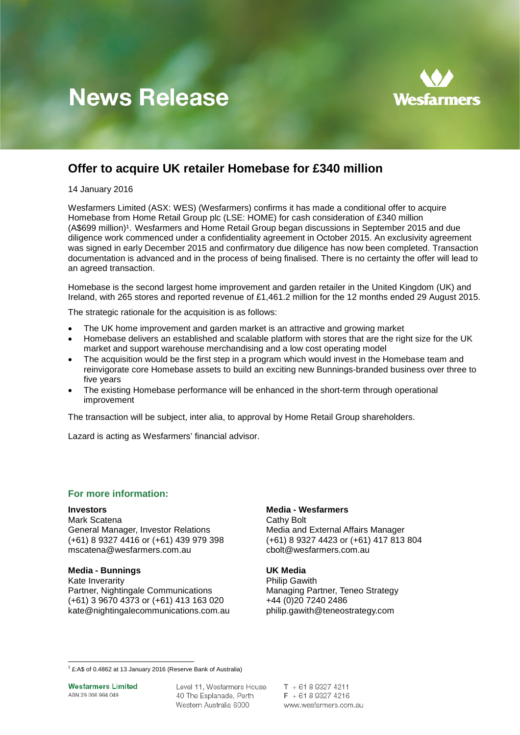# **News Release**



## **Offer to acquire UK retailer Homebase for £340 million**

14 January 2016

Wesfarmers Limited (ASX: WES) (Wesfarmers) confirms it has made a conditional offer to acquire Homebase from Home Retail Group plc (LSE: HOME) for cash consideration of £340 million (A\$699 million)<sup>[1](#page-0-0)</sup>. Wesfarmers and Home Retail Group began discussions in September 2015 and due diligence work commenced under a confidentiality agreement in October 2015. An exclusivity agreement was signed in early December 2015 and confirmatory due diligence has now been completed. Transaction documentation is advanced and in the process of being finalised. There is no certainty the offer will lead to an agreed transaction.

Homebase is the second largest home improvement and garden retailer in the United Kingdom (UK) and Ireland, with 265 stores and reported revenue of £1,461.2 million for the 12 months ended 29 August 2015.

The strategic rationale for the acquisition is as follows:

- The UK home improvement and garden market is an attractive and growing market
- Homebase delivers an established and scalable platform with stores that are the right size for the UK market and support warehouse merchandising and a low cost operating model
- The acquisition would be the first step in a program which would invest in the Homebase team and reinvigorate core Homebase assets to build an exciting new Bunnings-branded business over three to five years
- The existing Homebase performance will be enhanced in the short-term through operational improvement

The transaction will be subject, inter alia, to approval by Home Retail Group shareholders.

Lazard is acting as Wesfarmers' financial advisor.

## **For more information:**

**Investors**<br> **Media - Wesfarmers**<br> **Mark Scatena**<br> **Media - Wesfarmers** Mark Scatena<br>
General Manager, Investor Relations<br>
Media and External Affairs Manager (+61) 8 9327 4416 or (+61) 439 979 398 (+61) 8 9327 4423 or (+61)<br>mscatena@wesfarmers.com.au cbolt@wesfarmers.com.au  $mscatena@westarmers.com.au$ 

## **Media - Bunnings UK Media**

Kate Inverarity **Example 20** November 2012 11:30 Philip Gawith Partner, Nightingale Communications<br>
(+61) 3 9670 4373 or (+61) 413 163 020<br>
+44 (0)20 7240 2486  $(+61)$  3 9670 4373 or  $(+61)$  413 163 020 [kate@nightingalecommunications.com.au](mailto:kate@nightingalecommunications.com.au) philip.gawith@teneostrategy.com

General Manager, Investor Relations<br>
(+61) 8 9327 4416 or (+61) 439 979 398 (+61) 8 9327 4423 or (+61) 417 813 804

**Wesfarmers Limited** ABN 28 008 984 049

Level 11, Wesfarmers House 40 The Esplanade, Perth Western Australia 6000

 $T + 61893274211$  $F + 61893274216$ www.wesfarmers.com.au

<span id="page-0-0"></span><sup>1</sup> £:A\$ of 0.4862 at 13 January 2016 (Reserve Bank of Australia)